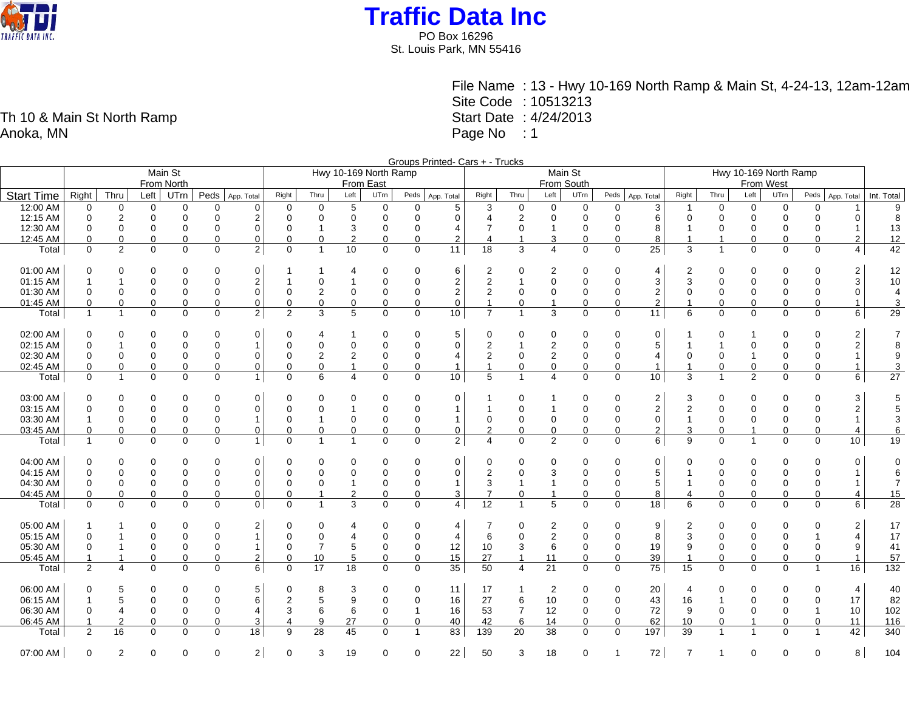

PO Box 16296 St. Louis Park, MN 55416

> File Name : 13 - Hwy 10-169 North Ramp & Main St, 4-24-13, 12am-12am Site Code : 10513213 Start Date : 4/24/2013 Page No : 1

Groups Printed- Cars + - Trucks Main St From North<br>Left UTrn Hwy 10-169 North Ramp From East Main St From South Hwy 10-169 North Ramp From West Start Time Right Thru Left UTrn Peds App. Total Right Thru Left UTrn Peds App. Total Right Thru Left UTrn Peds App. Total Right Thru Left UTrn Peds App. Total Right Thru Left UTrn Peds App. Total Int. Total 12:00 AM | 0 0 0 0 0 0 0 | 0 0 5 0 0 0 5 | 3 0 0 0 0 0 3 | 1 0 0 0 0 0 1 | 9 12:15 AM 0 2 0 0 0 2 0 0 0 0 0 0 4 2 0 0 0 6 0 0 0 0 0 0 8 12:30 AM 0 0 0 0 0 0 0 1 3 0 0 4 7 0 1 0 0 8 1 0 0 0 0 1 13 12:45 AM 0 0 0 0 0 0 0 0 2 0 0 2 4 1 3 0 0 8 1 1 0 0 0 2 12 Total 0 2 0 0 0 2 0 1 10 0 0 11 18 3 4 0 0 25 3 1 0 0 0 4 42 01:00 AM 0 0 0 0 0 0 1 1 4 0 0 6 2 0 2 0 0 4 2 0 0 0 0 2 12 01:15 AM | 1 1 0 0 0 0 2 | 1 0 1 0 0 0 2 | 2 1 0 0 0 0 3 | 3 0 0 0 0 3 | 10 01:30 AM 0 0 0 0 0 0 0 2 0 0 0 2 2 0 0 0 0 2 0 0 0 0 0 0 4 01:45 AM 0 0 0 0 0 0 0 0 0 0 0 0 1 0 1 0 0 2 1 0 0 0 0 1 3 Total 1 1 0 0 0 2 2 3 5 0 0 10 7 1 3 0 0 11 6 0 0 0 0 6 29 02:00 AM | 0 0 0 0 0 0 0 0 0 0 | 0 4 1 0 0 0 5 | 0 0 0 0 0 0 0 1 0 1 0 0 2 | 7 02:15 AM 0 1 0 0 0 1 0 0 0 0 0 0 2 1 2 0 0 5 1 1 0 0 0 2 8 02:30 AM | 0 0 0 0 0 0 0 | 0 2 2 0 0 4 | 2 0 2 0 0 4 | 0 0 1 0 0 1 | 9 02:45 AM 0 0 0 0 0 0 0 0 1 0 0 1 1 0 0 0 0 1 1 0 0 0 0 1 3 Total 0 1 0 0 0 1 0 6 4 0 0 10 5 1 4 0 0 10 3 1 2 0 0 6 27 03:00 AM 0 0 0 0 0 0 0 0 0 0 0 0 1 0 1 0 0 2 3 0 0 0 0 3 5 03:15 AM | 0 0 0 0 0 0 0 | 0 0 0 1 0 0 0 1 | 1 0 0 1 0 0 0 2 | 2 0 0 0 0 0 2 | 5 03:30 AM 1 0 0 0 0 1 0 1 0 0 0 1 0 0 0 0 0 0 1 0 0 0 0 1 3 03:45 AM 0 0 0 0 0 0 0 0 0 0 0 0 2 0 0 0 0 2 3 0 1 0 0 4 6 Total | 1 0 0 0 1 | 0 1 1 0 0 2 | 4 0 2 0 0 6 | 9 0 1 0 0 10 | 19 04:00 AM 0 0 0 0 0 0 0 0 0 0 0 0 0 0 0 0 0 0 0 0 0 0 0 0 0 04:15 AM 0 0 0 0 0 0 0 0 0 0 0 0 2 0 3 0 0 5 1 0 0 0 0 1 6 04:30 AM | 0 0 0 0 0 0 0 | 0 0 1 0 0 0 1 | 3 1 1 0 0 5 | 1 0 0 0 0 1 | 7 04:45 AM | 0 0 0 0 0 0 0 0 0 0 0 1 2 0 0 3 | 7 0 1 0 0 8 | 4 0 0 0 0 0 4 | 15 Total 0 0 0 0 0 0 0 1 3 0 0 4 12 1 5 0 0 18 6 0 0 0 0 6 28 05:00 AM 1 1 0 0 0 2 0 0 4 0 0 4 7 0 2 0 0 9 2 0 0 0 0 2 17 05:15 AM 0 1 0 0 0 1 0 0 4 0 0 4 6 0 2 0 0 8 3 0 0 0 1 4 17 05:30 AM | 0 1 0 0 0 0 1 | 0 7 5 0 0 12 | 10 3 6 0 0 19 | 9 0 0 0 0 9 | 41 05:45 AM | 1 1 0 0 0 0 2 | 0 10 5 0 0 15 | 27 1 11 0 0 39 | 1 0 0 0 0 0 1 | 57 Total 2 4 0 0 0 6 0 17 18 0 0 35 50 4 21 0 0 75 15 0 0 0 1 16 132 06:00 AM | 0 5 0 0 0 5 | 0 8 3 0 0 11 | 17 1 2 0 0 20 | 4 0 0 0 4 | 40 06:15 AM 1 5 0 0 0 6 2 5 9 0 0 16 27 6 10 0 0 43 16 1 0 0 0 17 82 06:30 AM | 0 4 0 0 0 4 | 3 6 6 0 1 16 | 53 7 12 0 0 72 | 9 0 0 0 1 10 | 102 06:45 AM 1 2 0 0 0 3 4 9 27 0 0 40 42 6 14 0 0 62 10 0 1 0 0 11 116 Total 2 16 0 0 0 18 9 28 45 0 1 83 139 20 38 0 0 197 39 1 1 0 1 42 340

07:00 AM | 0 2 0 0 0 2 | 0 3 19 0 0 22 | 50 3 18 0 1 72 | 7 1 0 0 8 | 104

Th 10 & Main St North Ramp Anoka, MN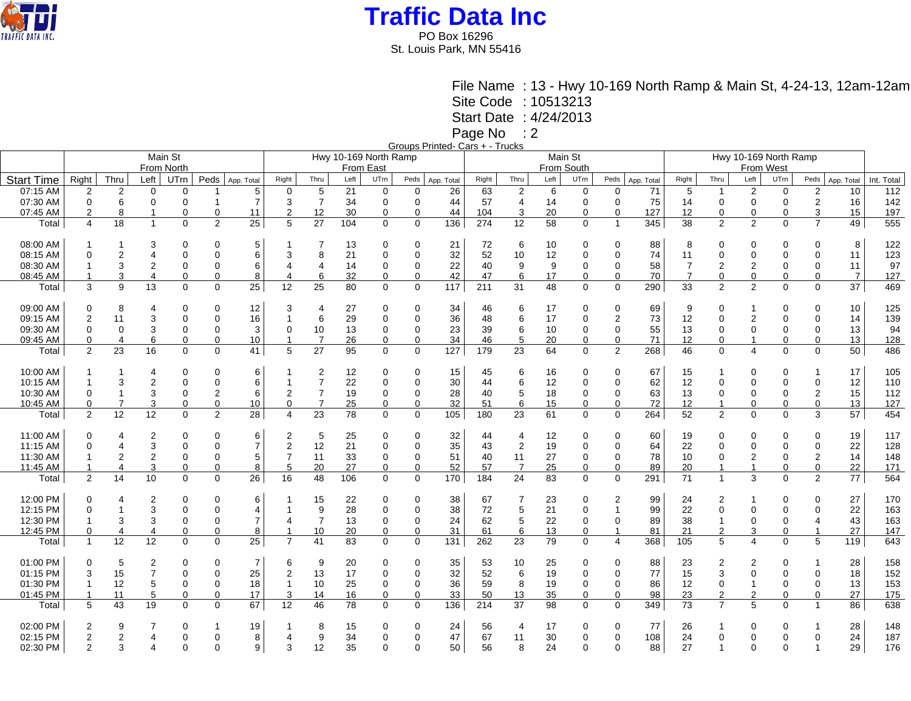

PO Box 16296 St. Louis Park, MN 55416

File Name : 13 - Hwy 10-169 North Ramp & Main St, 4-24-13, 12am-12am

Site Code : 10513213

Start Date : 4/24/2013

Page No : 2

Groups Printed- Cars + - Trucks

|                   |                | $111100$ $0010$ $110010$ |                         |              |                |                |                       |                |      |             |             |            |            |                  |         |             |                |                  |                |                                    |                              |                |                         |                 |            |  |
|-------------------|----------------|--------------------------|-------------------------|--------------|----------------|----------------|-----------------------|----------------|------|-------------|-------------|------------|------------|------------------|---------|-------------|----------------|------------------|----------------|------------------------------------|------------------------------|----------------|-------------------------|-----------------|------------|--|
|                   |                |                          |                         | Main St      |                |                | Hwy 10-169 North Ramp |                |      |             |             |            |            |                  | Main St |             |                |                  |                |                                    |                              |                |                         |                 |            |  |
|                   |                |                          |                         | From North   |                |                |                       |                |      | From East   |             |            | From South |                  |         |             |                |                  |                | Hwy 10-169 North Ramp<br>From West |                              |                |                         |                 |            |  |
| <b>Start Time</b> | Right          | Thru                     | Left                    | UTrn         | Peds           |                | Right                 | Thru           | Left | UTrn        | Peds        |            | Right      | Thru             | Left    | UTrn        | Peds           | App. Total       | Right          | Thru                               | Left                         | UTrn           | Peds                    | App. Total      | Int. Total |  |
|                   |                |                          |                         |              |                | App. Total     |                       |                |      |             |             | App. Total |            |                  |         |             |                |                  |                |                                    |                              |                |                         |                 |            |  |
| 07:15 AM          | $\overline{2}$ | $\overline{2}$           | 0                       | 0            |                | 5              | $\mathbf 0$           | 5              | 21   | 0           | 0           | 26         | 63         | $\overline{c}$   | 6       | 0           | 0              | 71               | 5              | $\overline{1}$                     | 2                            | 0              | $\overline{\mathbf{c}}$ | 10              | 112        |  |
| 07:30 AM          | $\mathbf 0$    | 6                        | 0                       | $\mathbf 0$  |                | $\overline{7}$ | 3                     | $\overline{7}$ | 34   | 0           | $\mathbf 0$ | 44         | 57         | 4                | 14      | $\Omega$    | 0              | 75               | 14             | $\mathbf 0$                        | $\mathbf 0$                  | $\mathbf 0$    | $\boldsymbol{2}$        | 16              | 142        |  |
| 07:45 AM          | $\overline{2}$ | 8                        | 1                       | $\mathbf 0$  | $\Omega$       | 11             | 2                     | 12             | 30   | 0           | $\mathbf 0$ | 44         | 104        | 3                | 20      | 0           | $\Omega$       | 127              | 12             | $\mathbf 0$                        | 0                            | $\mathbf 0$    | 3                       | 15              | 197        |  |
| Total             | $\overline{4}$ | 18                       | $\overline{1}$          | $\mathbf{0}$ | $\overline{2}$ | 25             | 5                     | 27             | 104  | 0           | $\mathbf 0$ | 136        | 274        | $\overline{12}$  | 58      | $\mathbf 0$ | $\overline{1}$ | 345              | 38             | 2                                  | $\overline{2}$               | $\overline{0}$ | $\overline{7}$          | 49              | 555        |  |
|                   |                |                          |                         |              |                |                |                       |                |      |             |             |            |            |                  |         |             |                |                  |                |                                    |                              |                |                         |                 |            |  |
| 08:00 AM          |                |                          | 3                       | $\mathbf 0$  | $\Omega$       | 5              |                       | 7              | 13   | 0           | 0           | 21         | 72         | 6                | 10      | 0           | 0              | 88               | 8              | $\Omega$                           | 0                            | $\Omega$       | $\Omega$                | 8               | 122        |  |
| 08:15 AM          | $\Omega$       | $\overline{2}$           | 4                       | $\mathbf 0$  | $\Omega$       | 6              | 3                     | 8              | 21   | 0           | $\Omega$    | 32         | 52         | 10               | 12      | $\Omega$    | 0              | 74               | 11             | $\mathbf 0$                        | $\Omega$                     | $\mathbf 0$    | $\Omega$                | 11              | 123        |  |
| 08:30 AM          |                | 3                        | $\overline{\mathbf{c}}$ | $\mathbf 0$  | $\Omega$       | 6              | 4                     | $\overline{4}$ | 14   | 0           | $\mathbf 0$ | 22         | 40         | 9                | 9       | 0           | 0              | 58               | 7              | $\overline{2}$                     | 2                            | 0              | $\Omega$                | 11              | 97         |  |
| 08:45 AM          |                | 3                        | 4                       | $\mathbf 0$  | $\Omega$       | 8              | 4                     | 6              | 32   | $\mathbf 0$ | $\mathbf 0$ | 42         | 47         | 6                | 17      | $\mathbf 0$ | $\Omega$       | 70               | $\overline{7}$ | $\mathbf 0$                        | $\mathbf 0$                  | $\mathbf 0$    | $\Omega$                | $\overline{7}$  | 127        |  |
| Total             | 3              | 9                        | 13                      | $\mathbf 0$  | 0              | 25             | 12                    | 25             | 80   | $\mathbf 0$ | $\mathbf 0$ | 117        | 211        | 31               | 48      | $\mathbf 0$ | 0              | 290              | 33             | $\overline{2}$                     | $\overline{2}$               | $\mathbf 0$    | $\mathbf 0$             | $\overline{37}$ | 469        |  |
|                   |                |                          |                         |              |                |                |                       |                |      |             |             |            |            |                  |         |             |                |                  |                |                                    |                              |                |                         |                 |            |  |
| 09:00 AM          | $\Omega$       | 8                        | 4                       | $\mathbf 0$  | 0              | 12             | 3                     | $\overline{4}$ | 27   | 0           | 0           | 34         | 46         | 6                | 17      | 0           | 0              | 69               | 9              | $\Omega$                           | 1                            | 0              | $\Omega$                | 10              | 125        |  |
| 09:15 AM          | $\overline{2}$ | 11                       | 3                       | $\mathbf 0$  | $\Omega$       | 16             | -1                    | 6              | 29   | $\mathbf 0$ | $\mathbf 0$ | 36         | 48         | 6                | 17      | $\Omega$    | 2              | 73               | 12             | $\mathbf 0$                        | $\overline{2}$               | $\mathbf 0$    | $\Omega$                | 14              | 139        |  |
|                   | $\Omega$       | $\Omega$                 | 3                       |              | $\Omega$       |                | $\Omega$              |                |      |             | $\Omega$    |            | 39         |                  |         | $\Omega$    | 0              | 55               |                |                                    | 0                            |                | $\Omega$                | 13              |            |  |
| 09:30 AM          |                |                          |                         | $\mathbf 0$  |                | 3              |                       | 10             | 13   | 0           |             | 23         |            | 6                | 10      |             |                |                  | 13             | 0                                  |                              | 0              |                         |                 | 94         |  |
| 09:45 AM          | $\mathbf 0$    |                          | 6                       | $\mathbf 0$  | $\Omega$       | 10             |                       | 7              | 26   | 0           | 0           | 34         | 46         | 5                | 20      | 0           | 0              | 71               | 12             | 0                                  | 1<br>$\overline{\mathbf{A}}$ | 0              | 0                       | 13              | 128        |  |
| Total             | 2              | 23                       | 16                      | $\mathbf 0$  | $\Omega$       | 41             | 5                     | 27             | 95   | 0           | $\mathbf 0$ | 127        | 179        | $\overline{23}$  | 64      | 0           | $\overline{2}$ | 268              | 46             | $\mathbf 0$                        |                              | $\Omega$       | $\Omega$                | 50              | 486        |  |
| 10:00 AM          |                |                          | 4                       | 0            | $\Omega$       | 6              |                       | 2              | 12   | 0           | 0           | 15         | 45         | 6                | 16      | 0           | 0              | 67               | 15             |                                    | 0                            | 0              | -1                      | 17              | 105        |  |
| 10:15 AM          |                | 3                        | $\overline{2}$          | $\mathbf 0$  | $\Omega$       | 6              | 1                     | $\overline{7}$ | 22   | $\mathbf 0$ | $\mathbf 0$ | 30         | 44         | 6                | 12      | $\Omega$    | 0              | 62               | 12             | $\mathbf 0$                        | $\Omega$                     | $\mathbf 0$    | $\Omega$                | 12              | 110        |  |
| 10:30 AM          | $\Omega$       |                          | 3                       | $\mathbf 0$  | 2              | 6              | 2                     | $\overline{7}$ | 19   | 0           | $\mathbf 0$ | 28         | 40         | 5                | 18      | 0           | 0              | 63               | 13             | $\Omega$                           | 0                            | $\mathbf 0$    | $\overline{2}$          | 15              | 112        |  |
| 10:45 AM          | 0              |                          | 3                       | $\mathbf 0$  | 0              | 10             | 0                     | $\overline{7}$ | 25   | 0           | $\mathbf 0$ | 32         | 51         | 6                | 15      | 0           | 0              | 72               | 12             |                                    | 0                            | 0              | $\pmb{0}$               | 13              | $127$      |  |
| Total             | 2              | 12                       | $\overline{12}$         | $\mathbf 0$  | $\overline{2}$ | 28             | 4                     | 23             | 78   | 0           | $\mathbf 0$ | 105        | 180        | 23               | 61      | 0           | 0              | $\overline{264}$ | 52             | $\overline{2}$                     | $\Omega$                     | $\mathbf 0$    | 3                       | $\overline{57}$ | 454        |  |
|                   |                |                          |                         |              |                |                |                       |                |      |             |             |            |            |                  |         |             |                |                  |                |                                    |                              |                |                         |                 |            |  |
| 11:00 AM          | 0              |                          | 2                       | 0            | $\Omega$       | 6              | 2                     | 5              | 25   | 0           | 0           | 32         | 44         | 4                | 12      | 0           | 0              | 60               | 19             | 0                                  | 0                            | 0              | 0                       | 19              | 117        |  |
| 11:15 AM          | $\Omega$       | $\overline{4}$           | 3                       | $\mathbf 0$  | $\Omega$       | $\overline{7}$ | 2                     | 12             | 21   | 0           | $\mathbf 0$ | 35         | 43         | $\boldsymbol{2}$ | 19      | $\Omega$    | 0              | 64               | 22             | $\mathbf 0$                        | $\mathbf 0$                  | $\mathbf 0$    | 0                       | 22              | 128        |  |
| 11:30 AM          |                | $\overline{2}$           | $\overline{\mathbf{c}}$ | $\mathbf 0$  | $\Omega$       | 5              | $\overline{7}$        | 11             | 33   | 0           | $\Omega$    | 51         | 40         | 11               | 27      | $\Omega$    | 0              | 78               | 10             | $\mathbf 0$                        | $\overline{2}$               | $\mathbf 0$    | $\overline{2}$          | 14              | 148        |  |
| 11:45 AM          |                | $\Delta$                 | 3                       | $\mathbf 0$  | $\Omega$       | 8              | 5                     | 20             | 27   | 0           | $\mathbf 0$ | 52         | 57         | $\overline{7}$   | 25      | 0           | 0              | 89               | 20             | $\overline{1}$                     | $\overline{1}$               | 0              | $\mathbf 0$             | 22              | 171        |  |
| Total             | $\overline{2}$ | 14                       | 10                      | $\Omega$     | $\Omega$       | 26             | 16                    | 48             | 106  | $\Omega$    | $\mathbf 0$ | 170        | 184        | 24               | 83      | $\Omega$    | $\Omega$       | 291              | 71             | $\mathbf{1}$                       | 3                            | $\Omega$       | 2                       | 77              | 564        |  |
|                   |                |                          |                         |              |                |                |                       |                |      |             |             |            |            |                  |         |             |                |                  |                |                                    |                              |                |                         |                 |            |  |
| 12:00 PM          | $\Omega$       |                          | 2                       | 0            | $\Omega$       | 6              |                       | 15             | 22   | 0           | 0           | 38         | 67         | 7                | 23      | 0           | 2              | 99               | 24             | 2                                  | -1                           | 0              | $\Omega$                | 27              | 170        |  |
| 12:15 PM          | $\Omega$       |                          | 3                       | $\mathbf 0$  | $\Omega$       | $\overline{4}$ | $\overline{1}$        | 9              | 28   | 0           | 0           | 38         | 72         | 5                | 21      | $\Omega$    | $\overline{1}$ | 99               | 22             | $\mathbf 0$                        | 0                            | 0              | $\Omega$                | 22              | 163        |  |
| 12:30 PM          |                | 3                        | 3                       | $\mathbf 0$  | $\Omega$       | $\overline{7}$ | 4                     | $\overline{7}$ | 13   | 0           | $\mathbf 0$ | 24         | 62         | 5                | 22      | 0           | 0              | 89               | 38             | -1                                 | 0                            | $\mathbf 0$    | $\overline{4}$          | 43              | 163        |  |
| 12:45 PM          | $\mathbf 0$    | $\overline{4}$           | 4                       | $\mathbf 0$  | $\Omega$       | 8              | -1                    | 10             | 20   | 0           | $\mathbf 0$ | 31         | 61         | 6                | 13      | 0           | $\overline{1}$ | 81               | 21             | $\overline{2}$                     | 3                            | $\mathbf 0$    |                         | 27              | 147        |  |
| Total             | $\mathbf{1}$   | 12                       | 12                      | $\Omega$     | $\Omega$       | 25             | $\overline{7}$        | 41             | 83   | $\Omega$    | $\mathbf 0$ | 131        | 262        | 23               | 79      | $\Omega$    | 4              | 368              | 105            | 5                                  | 4                            | $\Omega$       | 5                       | 119             | 643        |  |
|                   |                |                          |                         |              |                |                |                       |                |      |             |             |            |            |                  |         |             |                |                  |                |                                    |                              |                |                         |                 |            |  |
| 01:00 PM          | $\Omega$       | 5                        | 2                       | 0            | $\Omega$       | $\overline{7}$ | 6                     | 9              | 20   | 0           | 0           | 35         | 53         | 10               | 25      | 0           | 0              | 88               | 23             | 2                                  | 2                            | 0              |                         | 28              | 158        |  |
| 01:15 PM          | 3              | 15                       | $\overline{7}$          | $\mathbf 0$  | $\Omega$       | 25             | 2                     | 13             | 17   | 0           | $\mathbf 0$ | 32         | 52         | 6                | 19      | $\mathbf 0$ | 0              | 77               | 15             | 3                                  | $\mathbf 0$                  | $\mathbf 0$    | $\Omega$                | 18              | 152        |  |
| 01:30 PM          | $\mathbf{1}$   | 12                       | 5                       | $\mathbf 0$  | $\mathbf 0$    | 18             | $\mathbf{1}$          | 10             | 25   | 0           | 0           | 36         | 59         | 8                | 19      | 0           | 0              | 86               | 12             | $\mathbf 0$                        | $\mathbf{1}$                 | $\mathbf 0$    | $\mathbf 0$             | 13              | 153        |  |
| 01:45 PM          |                | 11                       | 5                       | $\mathbf 0$  | $\Omega$       | 17             | 3                     | 14             | 16   | $\Omega$    | $\mathbf 0$ | 33         | 50         | 13               | 35      | 0           | $\Omega$       | 98               | 23             | $\overline{2}$                     | $\overline{2}$               | $\Omega$       | $\Omega$                | 27              | 175        |  |
| Total             | 5              | 43                       | 19                      | $\Omega$     | $\Omega$       | 67             | 12                    | 46             | 78   | $\Omega$    | $\Omega$    | 136        | 214        | 37               | 98      | $\Omega$    | 0              | 349              | 73             | $\overline{7}$                     | 5                            | $\Omega$       | -1                      | 86              | 638        |  |
| 02:00 PM          | $\overline{2}$ |                          |                         | 0            |                | 19             |                       | 8              | 15   | 0           | 0           | 24         | 56         | $\overline{4}$   | 17      | 0           | 0              | 77               | 26             |                                    | 0                            | 0              |                         | 28              | 148        |  |
| 02:15 PM          | $\overline{2}$ | $\boldsymbol{2}$         | 4                       | $\mathbf 0$  | $\mathbf 0$    | 8              | 4                     | 9              | 34   | 0           | 0           | 47         | 67         | 11               | 30      | $\Omega$    | 0              | 108              | 24             | 0                                  | $\Omega$                     | 0              | 0                       | 24              | 187        |  |
|                   | $\overline{2}$ | 3                        | 4                       | $\Omega$     | $\Omega$       |                | 3                     |                |      | $\Omega$    | $\Omega$    |            |            |                  |         | $\Omega$    | $\Omega$       |                  |                | $\overline{1}$                     | $\Omega$                     | $\Omega$       | $\overline{1}$          |                 |            |  |
| 02:30 PM          |                |                          |                         |              |                | 9              |                       | 12             | 35   |             |             | 50         | 56         | 8                | 24      |             |                | 88               | 27             |                                    |                              |                |                         | 29              | 176        |  |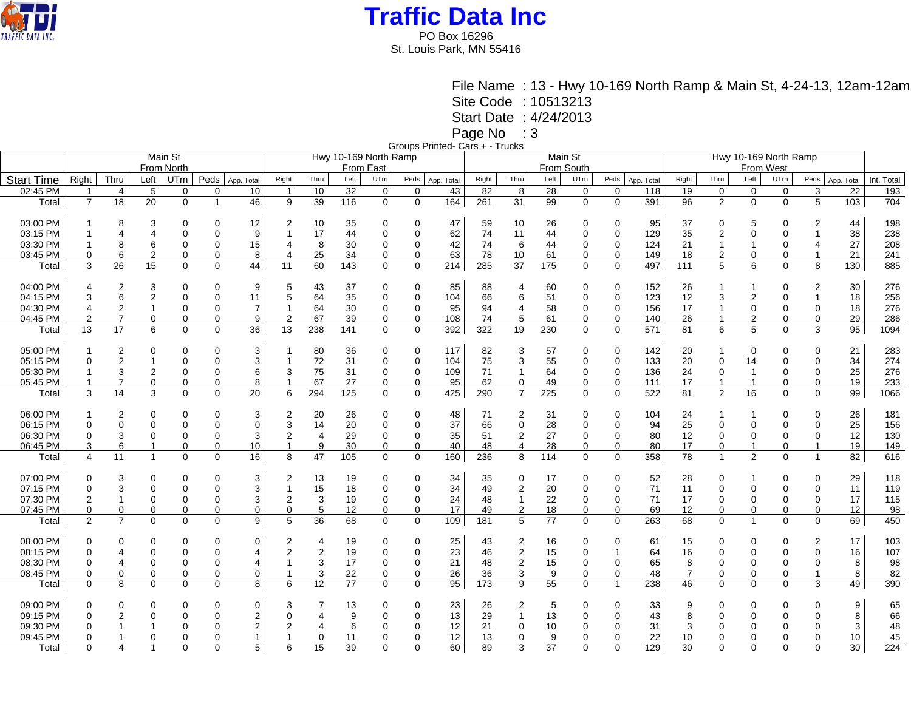

PO Box 16296 St. Louis Park, MN 55416

> File Name : 13 - Hwy 10-169 North Ramp & Main St, 4-24-13, 12am-12am Site Code : 10513213

Start Date : 4/24/2013

Page No : 3

Groups Printed- Cars + - Trucks

|                   |                |                         |                         |             |             |                |                       |      |      |                  |             | oloups i lilitou odis i Truons |            |                  |         |             |                |            |                       |                |                |             |              |            |            |  |  |
|-------------------|----------------|-------------------------|-------------------------|-------------|-------------|----------------|-----------------------|------|------|------------------|-------------|--------------------------------|------------|------------------|---------|-------------|----------------|------------|-----------------------|----------------|----------------|-------------|--------------|------------|------------|--|--|
|                   |                |                         |                         | Main St     |             |                | Hwy 10-169 North Ramp |      |      |                  |             |                                |            |                  | Main St |             |                |            | Hwy 10-169 North Ramp |                |                |             |              |            |            |  |  |
|                   |                |                         |                         | From North  |             |                |                       |      |      | <b>From East</b> |             |                                | From South |                  |         |             |                |            |                       | From West      |                |             |              |            |            |  |  |
|                   |                |                         |                         |             |             |                |                       |      |      |                  |             |                                |            |                  |         |             |                |            |                       |                |                |             |              |            |            |  |  |
| <b>Start Time</b> | Right          | Thru                    | Left                    | UTrn        | Peds        | App. Total     | Right                 | Thru | Left | UTrn             | Peds        | App. Total                     | Right      | Thru             | Left    | UTrn        | Peds           | App. Total | Right                 | Thru           | Left           | UTrn        | Peds         | App. Total | Int. Total |  |  |
| 02:45 PM          | $\mathbf{1}$   | $\overline{4}$          | 5                       | 0           | $\Omega$    | 10             | $\overline{1}$        | 10   | 32   | $\mathbf 0$      | $\mathbf 0$ | 43                             | 82         | 8                | 28      | $\mathbf 0$ | $\mathbf 0$    | 118        | 19                    | $\mathbf 0$    | $\mathbf 0$    | $\mathbf 0$ | 3            | 22         | 193        |  |  |
|                   | $\overline{7}$ |                         | 20                      | $\mathbf 0$ |             |                |                       |      |      | $\mathbf 0$      |             |                                |            |                  |         |             |                |            |                       |                |                |             | 5            |            |            |  |  |
| Total             |                | 18                      |                         |             |             | 46             | 9                     | 39   | 116  |                  | $\mathbf 0$ | 164                            | 261        | 31               | 99      | $\mathbf 0$ | $\mathbf 0$    | 391        | 96                    | $\overline{2}$ | $\mathbf 0$    | $\mathbf 0$ |              | 103        | 704        |  |  |
|                   |                |                         |                         |             |             |                |                       |      |      |                  |             |                                |            |                  |         |             |                |            |                       |                |                |             |              |            |            |  |  |
| 03:00 PM          |                | 8                       | 3                       | $\Omega$    | $\Omega$    | 12             |                       | 10   | 35   | $\Omega$         | 0           | 47                             | 59         | 10               | 26      | 0           | 0              | 95         | 37                    | 0              | 5              | $\Omega$    | 2            | 44         | 198        |  |  |
| 03:15 PM          | 1              | 4                       |                         | $\Omega$    | $\Omega$    | 9              |                       | 17   | 44   | 0                | 0           | 62                             | 74         | 11               | 44      | $\Omega$    | 0              | 129        | 35                    | $\overline{2}$ | $\mathbf{0}$   | $\Omega$    |              | 38         | 238        |  |  |
|                   |                |                         |                         |             |             |                |                       |      |      |                  |             |                                |            |                  |         |             |                |            |                       |                |                |             |              |            |            |  |  |
| 03:30 PM          |                | 8                       | 6                       | 0           | $\Omega$    | 15             | 4                     | 8    | 30   | 0                | 0           | 42                             | 74         | 6                | 44      | 0           | 0              | 124        | 21                    | $\mathbf{1}$   | $\mathbf 1$    | $\Omega$    | 4            | 27         | 208        |  |  |
| 03:45 PM          | 0              | 6                       | $\overline{2}$          | 0           | $\Omega$    | 8              |                       | 25   | 34   | 0                | 0           | 63                             | 78         | 10               | 61      | 0           | 0              | 149        | 18                    | $\overline{2}$ | 0              | $\Omega$    |              | 21         | 241        |  |  |
| Total             | 3              | 26                      | 15                      | $\mathbf 0$ | $\mathbf 0$ | 44             | 11                    | 60   | 143  | $\mathbf 0$      | $\mathbf 0$ | 214                            | 285        | 37               | 175     | $\mathbf 0$ | 0              | 497        | 111                   | 5              | 6              | $\mathbf 0$ | 8            | 130        | 885        |  |  |
|                   |                |                         |                         |             |             |                |                       |      |      |                  |             |                                |            |                  |         |             |                |            |                       |                |                |             |              |            |            |  |  |
|                   |                |                         |                         |             |             |                |                       |      |      |                  |             |                                |            |                  |         |             |                |            |                       |                |                |             |              |            |            |  |  |
| 04:00 PM          | 4              | 2                       | 3                       | 0           | 0           | 9              | 5                     | 43   | 37   | 0                | 0           | 85                             | 88         | 4                | 60      | 0           | 0              | 152        | 26                    | -1             | 1              | 0           | 2            | 30         | 276        |  |  |
| 04:15 PM          | 3              | 6                       | $\overline{\mathbf{c}}$ | $\mathbf 0$ | $\Omega$    | 11             | 5                     | 64   | 35   | $\mathbf 0$      | 0           | 104                            | 66         | 6                | 51      | 0           | 0              | 123        | 12                    | 3              | $\overline{2}$ | $\mathbf 0$ | $\mathbf{1}$ | 18         | 256        |  |  |
| 04:30 PM          | $\overline{4}$ | $\overline{2}$          | $\mathbf{1}$            | $\Omega$    | $\Omega$    | $\overline{7}$ |                       | 64   | 30   | $\mathbf 0$      | 0           | 95                             | 94         | 4                | 58      | $\Omega$    | $\mathbf 0$    | 156        | 17                    | $\mathbf{1}$   | $\mathbf{0}$   | $\mathbf 0$ | $\mathbf 0$  | 18         | 276        |  |  |
| 04:45 PM          | 2              | $\overline{7}$          | $\mathbf 0$             |             | $\Omega$    | 9              | 2                     | 67   | 39   | $\Omega$         | $\mathbf 0$ | 108                            | 74         | 5                | 61      | $\mathbf 0$ | 0              | 140        | 26                    |                |                | $\Omega$    | $\Omega$     | 29         |            |  |  |
|                   |                |                         |                         | 0           |             |                |                       |      |      |                  |             |                                |            |                  |         |             |                |            |                       |                | 2              |             |              |            | 286        |  |  |
| Total             | 13             | 17                      | 6                       | $\mathbf 0$ | $\Omega$    | 36             | 13                    | 238  | 141  | $\mathbf 0$      | $\mathbf 0$ | 392                            | 322        | 19               | 230     | $\mathbf 0$ | 0              | 571        | 81                    | 6              | 5              | $\Omega$    | 3            | 95         | 1094       |  |  |
|                   |                |                         |                         |             |             |                |                       |      |      |                  |             |                                |            |                  |         |             |                |            |                       |                |                |             |              |            |            |  |  |
| 05:00 PM          | 1              | 2                       | 0                       | $\Omega$    | 0           | 3              |                       | 80   | 36   | 0                | 0           | 117                            | 82         | 3                | 57      | 0           | 0              | 142        | 20                    |                | 0              | 0           | 0            | 21         | 283        |  |  |
| 05:15 PM          | $\mathbf 0$    | $\overline{2}$          | 1                       | $\Omega$    | $\Omega$    | 3              |                       | 72   | 31   | $\mathbf 0$      | $\mathbf 0$ | 104                            | 75         | 3                | 55      | $\mathbf 0$ | 0              | 133        |                       | $\mathbf 0$    | 14             | $\mathbf 0$ | $\mathbf 0$  | 34         | 274        |  |  |
|                   |                |                         |                         |             |             |                |                       |      |      |                  |             |                                |            |                  |         |             |                |            | 20                    |                |                |             |              |            |            |  |  |
| 05:30 PM          |                | 3                       | 2                       | 0           | $\Omega$    | 6              | 3                     | 75   | 31   | 0                | 0           | 109                            | 71         | $\mathbf{1}$     | 64      | 0           | $\mathbf 0$    | 136        | 24                    | $\mathbf 0$    | -1             | 0           | 0            | 25         | 276        |  |  |
| 05:45 PM          | $\mathbf 1$    | $\overline{7}$          | $\mathbf 0$             | 0           | $\Omega$    | 8              |                       | 67   | 27   | 0                | 0           | 95                             | 62         | $\mathbf 0$      | 49      | 0           | 0              | 111        | 17                    | $\mathbf{1}$   | $\overline{1}$ | 0           | 0            | 19         | 233        |  |  |
| Total             | 3              | 14                      | 3                       | $\Omega$    | $\Omega$    | 20             | 6                     | 294  | 125  | $\Omega$         | $\mathbf 0$ | 425                            | 290        | $\overline{7}$   | 225     | $\mathbf 0$ | 0              | 522        | 81                    | 2              | 16             | $\Omega$    | $\Omega$     | 99         | 1066       |  |  |
|                   |                |                         |                         |             |             |                |                       |      |      |                  |             |                                |            |                  |         |             |                |            |                       |                |                |             |              |            |            |  |  |
|                   |                |                         |                         |             |             |                |                       |      |      |                  |             |                                |            |                  |         |             |                |            |                       |                |                |             |              |            |            |  |  |
| 06:00 PM          |                | 2                       | 0                       | $\Omega$    | 0           | 3              | 2                     | 20   | 26   | 0                | 0           | 48                             | 71         | 2                | 31      | 0           | 0              | 104        | 24                    |                | 1              | 0           | 0            | 26         | 181        |  |  |
| 06:15 PM          | $\Omega$       | 0                       | 0                       | $\Omega$    | $\Omega$    | $\mathbf 0$    | 3                     | 14   | 20   | 0                | 0           | 37                             | 66         | $\pmb{0}$        | 28      | 0           | 0              | 94         | 25                    | $\Omega$       | $\Omega$       | $\Omega$    | $\mathbf 0$  | 25         | 156        |  |  |
| 06:30 PM          | 0              | 3                       | 0                       | $\mathbf 0$ | $\Omega$    | 3              | $\overline{2}$        | 4    | 29   | 0                | 0           | 35                             | 51         | $\boldsymbol{2}$ | 27      | 0           | 0              | 80         | 12                    | 0              | 0              | 0           | 0            | 12         | 130        |  |  |
| 06:45 PM          | 3              | 6                       | $\mathbf{1}$            | 0           | $\Omega$    | 10             |                       | 9    | 30   | $\Omega$         | $\mathbf 0$ | 40                             | 48         | 4                | 28      | 0           | 0              | 80         | 17                    | $\mathbf 0$    | $\mathbf 1$    | $\Omega$    | 1            | 19         | 149        |  |  |
|                   |                |                         |                         |             |             |                |                       |      |      |                  |             |                                |            |                  |         |             |                |            |                       |                |                |             |              |            |            |  |  |
| Total             | 4              | 11                      | $\mathbf{1}$            | $\mathbf 0$ | $\Omega$    | 16             | 8                     | 47   | 105  | $\mathbf 0$      | $\mathbf 0$ | 160                            | 236        | 8                | 114     | 0           | 0              | 358        | 78                    | $\mathbf{1}$   | $\overline{2}$ | $\Omega$    | $\mathbf{1}$ | 82         | 616        |  |  |
|                   |                |                         |                         |             |             |                |                       |      |      |                  |             |                                |            |                  |         |             |                |            |                       |                |                |             |              |            |            |  |  |
| 07:00 PM          | $\Omega$       | 3                       | 0                       | $\Omega$    | $\Omega$    | 3              | $\overline{2}$        | 13   | 19   | 0                | 0           | 34                             | 35         | 0                | 17      | $\Omega$    | 0              | 52         | 28                    | $\Omega$       |                | $\Omega$    | 0            | 29         | 118        |  |  |
| 07:15 PM          | 0              | 3                       | $\mathbf 0$             | $\Omega$    | $\Omega$    | 3              |                       | 15   | 18   | 0                | 0           | 34                             | 49         | $\boldsymbol{2}$ | 20      | $\Omega$    | 0              | 71         | 11                    | $\mathbf 0$    | 0              | 0           | $\mathbf 0$  | 11         | 119        |  |  |
|                   |                |                         |                         |             |             |                |                       |      |      |                  |             |                                |            |                  |         |             |                |            |                       |                |                |             |              |            |            |  |  |
| 07:30 PM          |                | 1                       | 0                       | 0           | $\Omega$    | 3              | 2                     | 3    | 19   | 0                | 0           | 24                             | 48         | $\mathbf{1}$     | 22      | 0           | 0              | 71         | 17                    | $\mathbf 0$    | 0              | 0           | 0            | 17         | 115        |  |  |
| 07:45 PM          | 0              | 0                       | $\mathbf 0$             | $\mathbf 0$ | $\Omega$    | $\mathbf 0$    | $\mathbf 0$           | 5    | 12   | 0                | $\mathbf 0$ | 17                             | 49         | 2                | 18      | $\mathbf 0$ | 0              | 69         | 12                    | $\mathbf 0$    | 0              | 0           | $\mathbf 0$  | 12         | 98         |  |  |
| Total             | $\overline{2}$ | $\overline{7}$          | $\Omega$                | $\Omega$    | $\Omega$    | 9              | 5                     | 36   | 68   | $\Omega$         | $\mathbf 0$ | 109                            | 181        | 5                | 77      | $\mathbf 0$ | $\Omega$       | 263        | 68                    | $\Omega$       | $\overline{1}$ | $\Omega$    | $\Omega$     | 69         | 450        |  |  |
|                   |                |                         |                         |             |             |                |                       |      |      |                  |             |                                |            |                  |         |             |                |            |                       |                |                |             |              |            |            |  |  |
|                   |                |                         |                         |             |             |                |                       |      |      |                  |             |                                |            |                  |         |             |                |            |                       |                |                |             |              |            |            |  |  |
| 08:00 PM          | 0              | 0                       | 0                       | $\mathbf 0$ | 0           | $\overline{0}$ | 2                     | 4    | 19   | 0                | 0           | 25                             | 43         | 2                | 16      | 0           | 0              | 61         | 15                    | $\Omega$       | 0              | 0           | 2            | 17         | 103        |  |  |
| 08:15 PM          | $\mathbf 0$    | 4                       | $\mathbf 0$             | $\mathbf 0$ | $\Omega$    | $\overline{4}$ | 2                     | 2    | 19   | $\mathbf 0$      | 0           | 23                             | 46         | $\boldsymbol{2}$ | 15      | $\mathbf 0$ | $\overline{1}$ | 64         | 16                    | $\Omega$       | $\mathbf{0}$   | $\mathbf 0$ | $\mathbf 0$  | 16         | 107        |  |  |
| 08:30 PM          | 0              | 4                       | 0                       | 0           | $\Omega$    | $\overline{4}$ |                       | 3    | 17   | 0                | 0           | 21                             | 48         | $\boldsymbol{2}$ | 15      | 0           | 0              | 65         | 8                     | $\mathbf 0$    | 0              | 0           | 0            | 8          | 98         |  |  |
| 08:45 PM          | $\Omega$       | $\Omega$                | $\mathbf 0$             | 0           | $\Omega$    | $\mathbf 0$    |                       | 3    | 22   | $\Omega$         | 0           | 26                             | 36         | 3                | 9       | 0           | $\Omega$       | 48         | $\overline{7}$        | $\Omega$       | 0              | $\Omega$    | 1            | 8          | 82         |  |  |
|                   |                |                         |                         |             |             |                |                       |      |      |                  |             |                                |            |                  |         |             |                |            |                       |                |                |             |              |            |            |  |  |
| Total             | $\Omega$       | 8                       | $\Omega$                | $\Omega$    | $\Omega$    | 8              | 6                     | 12   | 77   | $\Omega$         | $\mathbf 0$ | 95                             | 173        | 9                | 55      | 0           | $\mathbf{1}$   | 238        | 46                    | $\Omega$       | $\Omega$       | $\Omega$    | 3            | 49         | 390        |  |  |
| 09:00 PM          | $\Omega$       | 0                       | $\Omega$                | 0           | $\Omega$    | $\mathbf 0$    | 3                     | 7    | 13   | $\Omega$         | 0           | 23                             | 26         | 2                | 5       | $\Omega$    | 0              | 33         | 9                     | $\Omega$       | $\Omega$       | $\Omega$    | $\Omega$     | 9          | 65         |  |  |
| 09:15 PM          | $\Omega$       |                         | $\Omega$                | $\Omega$    | $\Omega$    | $\overline{2}$ | $\Omega$              | 4    | 9    | $\Omega$         | 0           | 13                             | 29         | 1                | 13      | $\Omega$    | $\mathbf{0}$   | 43         | 8                     | $\Omega$       | $\Omega$       | $\Omega$    | $\Omega$     | 8          | 66         |  |  |
|                   |                |                         |                         |             |             |                |                       |      |      |                  |             |                                |            |                  |         |             |                |            |                       |                |                |             |              |            |            |  |  |
| 09:30 PM          | $\Omega$       |                         |                         | 0           | $\Omega$    | $\overline{c}$ | 2                     | 4    | 6    | $\Omega$         | 0           | 12                             | 21         | 0                | 10      | 0           | 0              | 31         | 3                     | $\mathbf 0$    | 0              | $\Omega$    | 0            | 3          | 48         |  |  |
| 09:45 PM          | 0              |                         | 0                       | $\Omega$    | 0           |                |                       | 0    | 11   | 0                | 0           | 12                             | 13         | 0                | 9       | $\Omega$    | $\Omega$       | 22         | 10                    | 0              | 0              | 0           | $\Omega$     | 10         | 45         |  |  |
| Total             | $\Omega$       | $\overline{\mathbf{4}}$ | $\overline{1}$          | $\Omega$    | $\Omega$    | 5              | 6                     | 15   | 39   | $\Omega$         | $\Omega$    | 60                             | 89         | 3                | 37      | $\Omega$    | $\Omega$       | 129        | 30                    | $\Omega$       | $\Omega$       | $\Omega$    | $\Omega$     | 30         | 224        |  |  |
|                   |                |                         |                         |             |             |                |                       |      |      |                  |             |                                |            |                  |         |             |                |            |                       |                |                |             |              |            |            |  |  |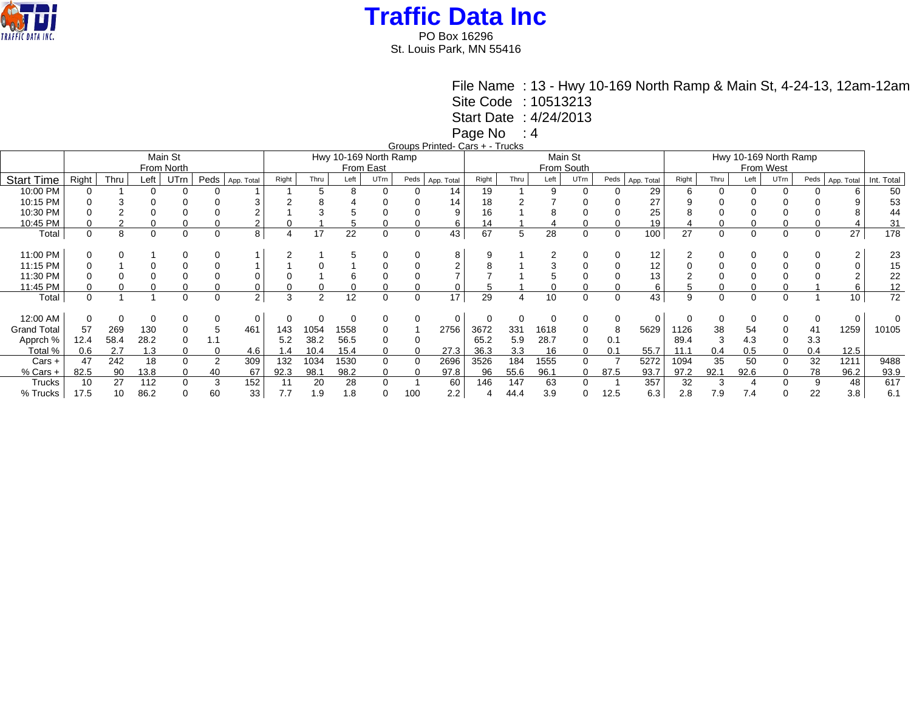

PO Box 16296 St. Louis Park, MN 55416

File Name : 13 - Hwy 10-169 North Ramp & Main St, 4-24-13, 12am-12am

Site Code : 10513213

Start Date : 4/24/2013

Page No : 4

Groups Printed- Cars + - Trucks

|          |      |      |      |                       |                |       |      |                 |          |           |                       |            |      |      |          |                       |      | Hwy 10-169 North Ramp |          |      |          |      |          |            |  |
|----------|------|------|------|-----------------------|----------------|-------|------|-----------------|----------|-----------|-----------------------|------------|------|------|----------|-----------------------|------|-----------------------|----------|------|----------|------|----------|------------|--|
|          |      |      |      |                       |                |       |      |                 |          |           |                       |            |      |      |          |                       |      | From West             |          |      |          |      |          |            |  |
| Right    | Thru | Left | UTrn | Peds                  | App. Total     | Right | Thru | Left            | UTrn     | Peds      |                       | Right      | Thru | Left | UTrn     | Peds                  |      | Right                 | Thru     | Left | UTrn     | Peds |          | Int. Total |  |
| 0        |      |      |      |                       |                |       |      | 8               |          |           | 14                    | 19         |      | 9    |          |                       | 29   |                       |          |      |          |      |          | 50         |  |
|          |      |      |      |                       |                |       |      |                 |          |           | 14                    | 18         |      |      |          |                       | 27   |                       |          |      |          |      |          | 53         |  |
|          |      |      |      |                       |                |       |      |                 |          |           | 9                     | 16         |      |      |          |                       | 25   |                       |          |      |          |      |          | 44         |  |
|          |      |      |      |                       |                |       |      |                 |          |           | 6                     | 14         |      |      |          |                       | 19   |                       |          |      |          |      |          | 31         |  |
| $\Omega$ | 8    |      | 0    |                       | 8              |       | 17   | 22              | 0        | 0         | 43                    | 67         | 5    | 28   | 0        |                       | 100  | 27                    | $\Omega$ | 0    |          | 0    | 27       | 178        |  |
|          |      |      |      |                       |                |       |      |                 |          |           |                       |            |      |      |          |                       |      |                       |          |      |          |      |          |            |  |
|          |      |      |      |                       |                |       |      |                 |          |           | 8                     |            |      |      |          |                       | 12   |                       |          |      |          |      |          | 23         |  |
|          |      |      |      |                       |                |       |      |                 |          |           | $\Omega$              |            |      |      |          |                       | 12   |                       |          |      |          |      |          | 15         |  |
|          |      |      |      |                       |                |       |      | b               |          |           |                       |            |      |      |          |                       | 13   |                       |          |      |          |      |          | 22         |  |
|          |      |      |      |                       |                |       |      |                 |          |           |                       |            |      |      |          |                       | 6    |                       |          |      |          |      |          | 12         |  |
| $\Omega$ |      |      | 0    | 0                     | $\overline{2}$ | 3     | 2    | 12              | 0        | 0         | 17                    | 29         | 4    | 10   | $\Omega$ |                       | 43   | 9                     | $\Omega$ | 0    | $\Omega$ |      | 10       | 72         |  |
|          |      |      |      |                       |                |       |      |                 |          |           |                       |            |      |      |          |                       |      |                       |          |      |          |      |          |            |  |
| 0        |      |      |      |                       | 0              |       |      |                 |          | 0         | 0                     |            | 0    |      |          |                       | 0    |                       |          |      |          | 0    | $\Omega$ |            |  |
| 57       | 269  | 130  |      |                       | 461            | 143   | 1054 | 1558            | 0        |           | 2756                  | 3672       | 331  | 1618 | $\Omega$ | 8                     | 5629 | 1126                  | 38       | 54   |          | 41   | 1259     | 10105      |  |
| 12.4     | 58.4 | 28.2 |      |                       |                | 5.2   | 38.2 | 56.5            | 0        |           |                       | 65.2       | 5.9  | 28.7 | $\Omega$ | 0.1                   |      | 89.4                  |          | 4.3  |          | 3.3  |          |            |  |
| 0.6      | 2.7  | 1.3  |      |                       | 4.6            | 1.4   | 10.4 | 15.4            | 0        |           | 27.3                  | 36.3       | 3.3  | 16   | 0        | 0.1                   | 55.7 | 11.1                  | 0.4      | 0.5  |          | 0.4  | 12.5     |            |  |
| 47       | 242  | 18   |      |                       | 309            | 132   | 1034 | 1530            | 0        | 0         | 2696                  | 3526       | 184  | 1555 |          |                       | 5272 | 1094                  | 35       | 50   |          | 32   | 1211     | 9488       |  |
| 82.5     | 90   | 13.8 |      | 40                    | 67             | 92.3  | 98.1 | 98.2            | 0        |           | 97.8                  | 96         | 55.6 | 96.1 | 0        | 87.5                  | 93.7 | 97.2                  | 92.1     | 92.6 |          | 78   | 96.2     | 93.9       |  |
| 10       | 27   | 112  |      | 3                     | 152            | 11    | 20   | 28              | $\Omega$ |           | 60                    | 146        | 147  | 63   |          |                       | 357  | 32                    |          |      |          | 9    | 48       | 617        |  |
| 17.5     | 10   | 86.2 |      | 60                    | 33             | 7.7   | 1.9  | $\cdot$ 8.<br>1 |          | 100       | 2.2                   |            | 44.4 | 3.9  |          | 12.5                  | 6.3  | 2.8                   | 7.9      | 7.4  |          | 22   | 3.8      | 6.1        |  |
|          |      |      |      | Main St<br>From North |                |       |      |                 |          | From East | Hwy 10-169 North Ramp | App. Total |      | .    |          | Main St<br>From South |      | App. Total            |          |      |          |      |          | App. Total |  |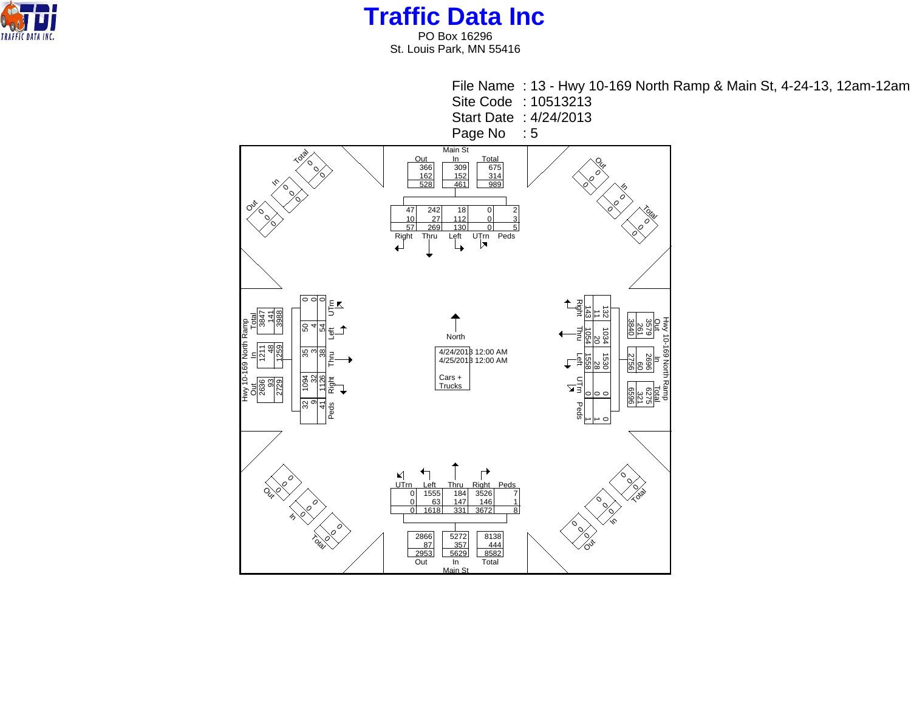

PO Box 16296 St. Louis Park, MN 55416